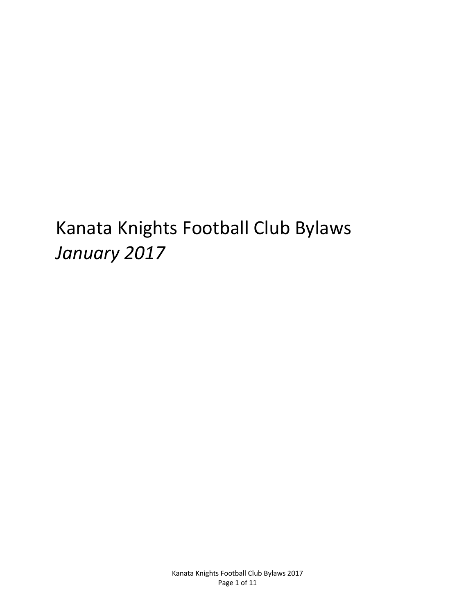# Kanata Knights Football Club Bylaws *January 2017*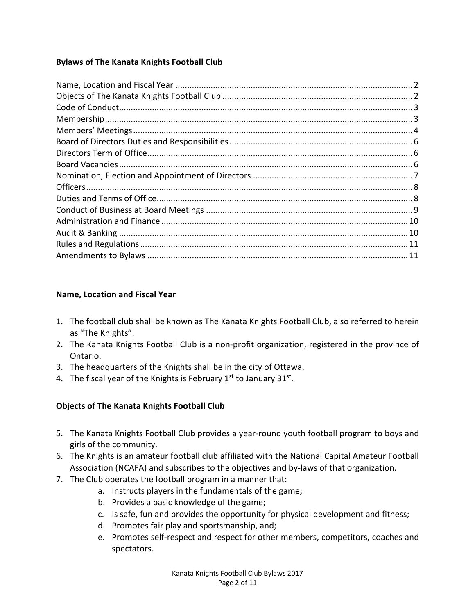# **Bylaws of The Kanata Knights Football Club**

## **Name, Location and Fiscal Year**

- 1. The football club shall be known as The Kanata Knights Football Club, also referred to herein as "The Knights".
- 2. The Kanata Knights Football Club is a non-profit organization, registered in the province of Ontario.
- 3. The headquarters of the Knights shall be in the city of Ottawa.
- 4. The fiscal year of the Knights is February  $1<sup>st</sup>$  to January  $31<sup>st</sup>$ .

# **Objects of The Kanata Knights Football Club**

- 5. The Kanata Knights Football Club provides a year-round youth football program to boys and girls of the community.
- 6. The Knights is an amateur football club affiliated with the National Capital Amateur Football Association (NCAFA) and subscribes to the objectives and by-laws of that organization.
- 7. The Club operates the football program in a manner that:
	- a. Instructs players in the fundamentals of the game;
	- b. Provides a basic knowledge of the game;
	- c. Is safe, fun and provides the opportunity for physical development and fitness;
	- d. Promotes fair play and sportsmanship, and;
	- e. Promotes self-respect and respect for other members, competitors, coaches and spectators.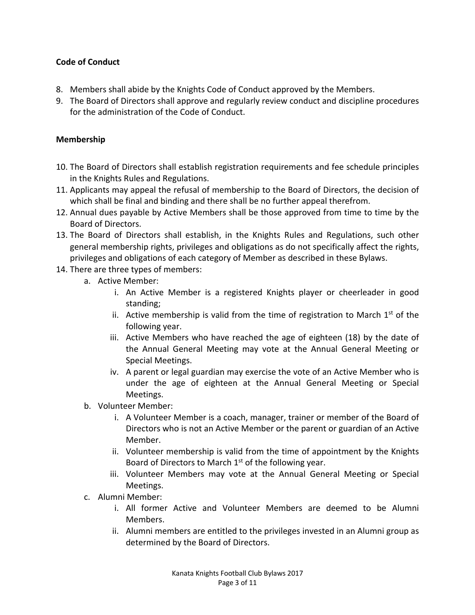## **Code of Conduct**

- 8. Members shall abide by the Knights Code of Conduct approved by the Members.
- 9. The Board of Directors shall approve and regularly review conduct and discipline procedures for the administration of the Code of Conduct.

#### **Membership**

- 10. The Board of Directors shall establish registration requirements and fee schedule principles in the Knights Rules and Regulations.
- 11. Applicants may appeal the refusal of membership to the Board of Directors, the decision of which shall be final and binding and there shall be no further appeal therefrom.
- 12. Annual dues payable by Active Members shall be those approved from time to time by the Board of Directors.
- 13. The Board of Directors shall establish, in the Knights Rules and Regulations, such other general membership rights, privileges and obligations as do not specifically affect the rights, privileges and obligations of each category of Member as described in these Bylaws.
- 14. There are three types of members:
	- a. Active Member:
		- i. An Active Member is a registered Knights player or cheerleader in good standing;
		- ii. Active membership is valid from the time of registration to March  $1<sup>st</sup>$  of the following year.
		- iii. Active Members who have reached the age of eighteen (18) by the date of the Annual General Meeting may vote at the Annual General Meeting or Special Meetings.
		- iv. A parent or legal guardian may exercise the vote of an Active Member who is under the age of eighteen at the Annual General Meeting or Special Meetings.
	- b. Volunteer Member:
		- i. A Volunteer Member is a coach, manager, trainer or member of the Board of Directors who is not an Active Member or the parent or guardian of an Active Member.
		- ii. Volunteer membership is valid from the time of appointment by the Knights Board of Directors to March  $1<sup>st</sup>$  of the following year.
		- iii. Volunteer Members may vote at the Annual General Meeting or Special Meetings.
	- c. Alumni Member:
		- i. All former Active and Volunteer Members are deemed to be Alumni Members.
		- ii. Alumni members are entitled to the privileges invested in an Alumni group as determined by the Board of Directors.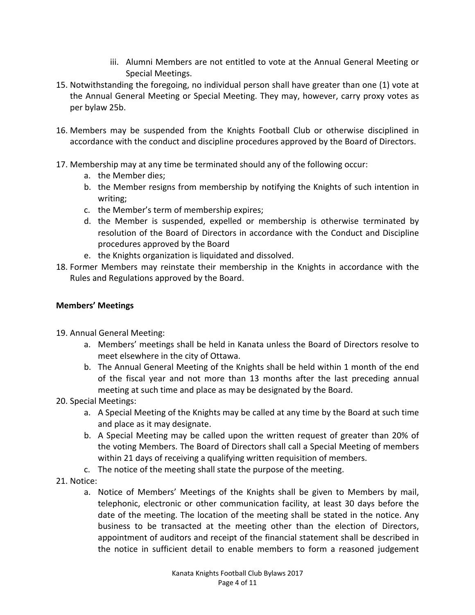- iii. Alumni Members are not entitled to vote at the Annual General Meeting or Special Meetings.
- 15. Notwithstanding the foregoing, no individual person shall have greater than one (1) vote at the Annual General Meeting or Special Meeting. They may, however, carry proxy votes as per bylaw 25b.
- 16. Members may be suspended from the Knights Football Club or otherwise disciplined in accordance with the conduct and discipline procedures approved by the Board of Directors.
- 17. Membership may at any time be terminated should any of the following occur:
	- a. the Member dies;
	- b. the Member resigns from membership by notifying the Knights of such intention in writing;
	- c. the Member's term of membership expires;
	- d. the Member is suspended, expelled or membership is otherwise terminated by resolution of the Board of Directors in accordance with the Conduct and Discipline procedures approved by the Board
	- e. the Knights organization is liquidated and dissolved.
- 18. Former Members may reinstate their membership in the Knights in accordance with the Rules and Regulations approved by the Board.

## **Members' Meetings**

- 19. Annual General Meeting:
	- a. Members' meetings shall be held in Kanata unless the Board of Directors resolve to meet elsewhere in the city of Ottawa.
	- b. The Annual General Meeting of the Knights shall be held within 1 month of the end of the fiscal year and not more than 13 months after the last preceding annual meeting at such time and place as may be designated by the Board.
- 20. Special Meetings:
	- a. A Special Meeting of the Knights may be called at any time by the Board at such time and place as it may designate.
	- b. A Special Meeting may be called upon the written request of greater than 20% of the voting Members. The Board of Directors shall call a Special Meeting of members within 21 days of receiving a qualifying written requisition of members.
	- c. The notice of the meeting shall state the purpose of the meeting.
- 21. Notice:
	- a. Notice of Members' Meetings of the Knights shall be given to Members by mail, telephonic, electronic or other communication facility, at least 30 days before the date of the meeting. The location of the meeting shall be stated in the notice. Any business to be transacted at the meeting other than the election of Directors, appointment of auditors and receipt of the financial statement shall be described in the notice in sufficient detail to enable members to form a reasoned judgement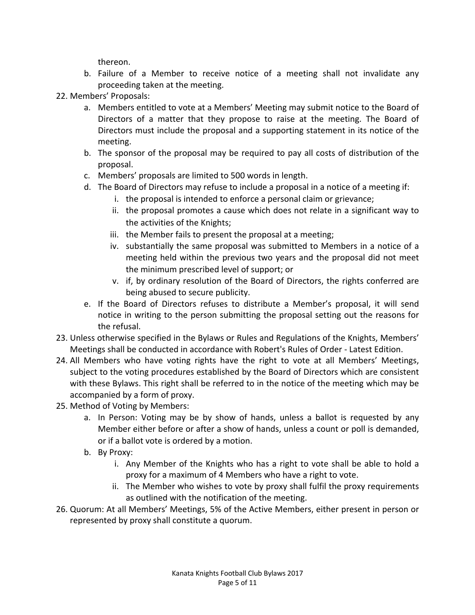thereon.

- b. Failure of a Member to receive notice of a meeting shall not invalidate any proceeding taken at the meeting.
- 22. Members' Proposals:
	- a. Members entitled to vote at a Members' Meeting may submit notice to the Board of Directors of a matter that they propose to raise at the meeting. The Board of Directors must include the proposal and a supporting statement in its notice of the meeting.
	- b. The sponsor of the proposal may be required to pay all costs of distribution of the proposal.
	- c. Members' proposals are limited to 500 words in length.
	- d. The Board of Directors may refuse to include a proposal in a notice of a meeting if:
		- i. the proposal is intended to enforce a personal claim or grievance;
		- ii. the proposal promotes a cause which does not relate in a significant way to the activities of the Knights;
		- iii. the Member fails to present the proposal at a meeting;
		- iv. substantially the same proposal was submitted to Members in a notice of a meeting held within the previous two years and the proposal did not meet the minimum prescribed level of support; or
		- v. if, by ordinary resolution of the Board of Directors, the rights conferred are being abused to secure publicity.
	- e. If the Board of Directors refuses to distribute a Member's proposal, it will send notice in writing to the person submitting the proposal setting out the reasons for the refusal.
- 23. Unless otherwise specified in the Bylaws or Rules and Regulations of the Knights, Members' Meetings shall be conducted in accordance with Robert's Rules of Order - Latest Edition.
- 24. All Members who have voting rights have the right to vote at all Members' Meetings, subject to the voting procedures established by the Board of Directors which are consistent with these Bylaws. This right shall be referred to in the notice of the meeting which may be accompanied by a form of proxy.
- 25. Method of Voting by Members:
	- a. In Person: Voting may be by show of hands, unless a ballot is requested by any Member either before or after a show of hands, unless a count or poll is demanded, or if a ballot vote is ordered by a motion.
	- b. By Proxy:
		- i. Any Member of the Knights who has a right to vote shall be able to hold a proxy for a maximum of 4 Members who have a right to vote.
		- ii. The Member who wishes to vote by proxy shall fulfil the proxy requirements as outlined with the notification of the meeting.
- 26. Quorum: At all Members' Meetings, 5% of the Active Members, either present in person or represented by proxy shall constitute a quorum.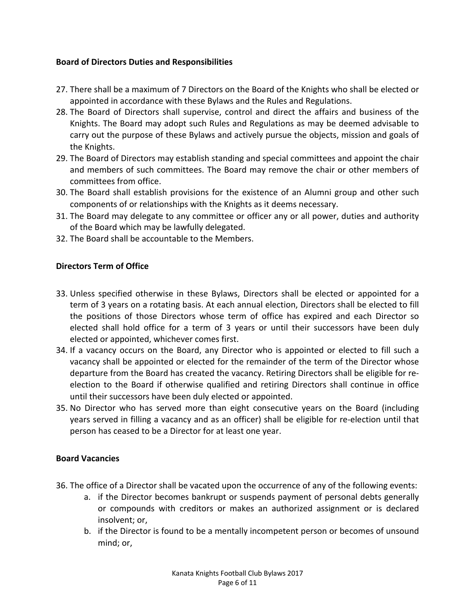## **Board of Directors Duties and Responsibilities**

- 27. There shall be a maximum of 7 Directors on the Board of the Knights who shall be elected or appointed in accordance with these Bylaws and the Rules and Regulations.
- 28. The Board of Directors shall supervise, control and direct the affairs and business of the Knights. The Board may adopt such Rules and Regulations as may be deemed advisable to carry out the purpose of these Bylaws and actively pursue the objects, mission and goals of the Knights.
- 29. The Board of Directors may establish standing and special committees and appoint the chair and members of such committees. The Board may remove the chair or other members of committees from office.
- 30. The Board shall establish provisions for the existence of an Alumni group and other such components of or relationships with the Knights as it deems necessary.
- 31. The Board may delegate to any committee or officer any or all power, duties and authority of the Board which may be lawfully delegated.
- 32. The Board shall be accountable to the Members.

## **Directors Term of Office**

- 33. Unless specified otherwise in these Bylaws, Directors shall be elected or appointed for a term of 3 years on a rotating basis. At each annual election, Directors shall be elected to fill the positions of those Directors whose term of office has expired and each Director so elected shall hold office for a term of 3 years or until their successors have been duly elected or appointed, whichever comes first.
- 34. If a vacancy occurs on the Board, any Director who is appointed or elected to fill such a vacancy shall be appointed or elected for the remainder of the term of the Director whose departure from the Board has created the vacancy. Retiring Directors shall be eligible for reelection to the Board if otherwise qualified and retiring Directors shall continue in office until their successors have been duly elected or appointed.
- 35. No Director who has served more than eight consecutive years on the Board (including years served in filling a vacancy and as an officer) shall be eligible for re-election until that person has ceased to be a Director for at least one year.

#### **Board Vacancies**

- 36. The office of a Director shall be vacated upon the occurrence of any of the following events:
	- a. if the Director becomes bankrupt or suspends payment of personal debts generally or compounds with creditors or makes an authorized assignment or is declared insolvent; or,
	- b. if the Director is found to be a mentally incompetent person or becomes of unsound mind; or,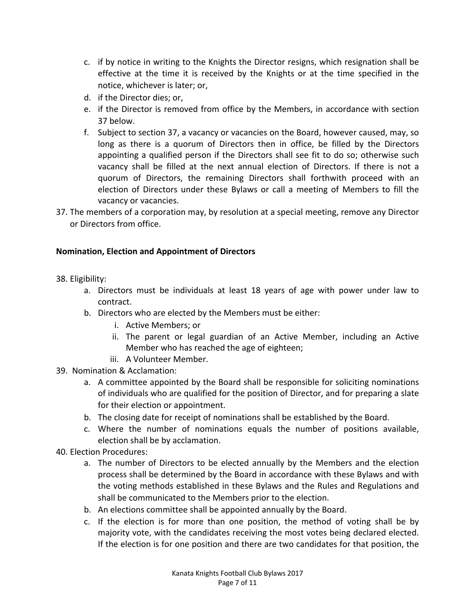- c. if by notice in writing to the Knights the Director resigns, which resignation shall be effective at the time it is received by the Knights or at the time specified in the notice, whichever is later; or,
- d. if the Director dies; or,
- e. if the Director is removed from office by the Members, in accordance with section 37 below.
- f. Subject to section 37, a vacancy or vacancies on the Board, however caused, may, so long as there is a quorum of Directors then in office, be filled by the Directors appointing a qualified person if the Directors shall see fit to do so; otherwise such vacancy shall be filled at the next annual election of Directors. If there is not a quorum of Directors, the remaining Directors shall forthwith proceed with an election of Directors under these Bylaws or call a meeting of Members to fill the vacancy or vacancies.
- 37. The members of a corporation may, by resolution at a special meeting, remove any Director or Directors from office.

## **Nomination, Election and Appointment of Directors**

- 38. Eligibility:
	- a. Directors must be individuals at least 18 years of age with power under law to contract.
	- b. Directors who are elected by the Members must be either:
		- i. Active Members; or
		- ii. The parent or legal guardian of an Active Member, including an Active Member who has reached the age of eighteen;
		- iii. A Volunteer Member.
- 39. Nomination & Acclamation:
	- a. A committee appointed by the Board shall be responsible for soliciting nominations of individuals who are qualified for the position of Director, and for preparing a slate for their election or appointment.
	- b. The closing date for receipt of nominations shall be established by the Board.
	- c. Where the number of nominations equals the number of positions available, election shall be by acclamation.
- 40. Election Procedures:
	- a. The number of Directors to be elected annually by the Members and the election process shall be determined by the Board in accordance with these Bylaws and with the voting methods established in these Bylaws and the Rules and Regulations and shall be communicated to the Members prior to the election.
	- b. An elections committee shall be appointed annually by the Board.
	- c. If the election is for more than one position, the method of voting shall be by majority vote, with the candidates receiving the most votes being declared elected. If the election is for one position and there are two candidates for that position, the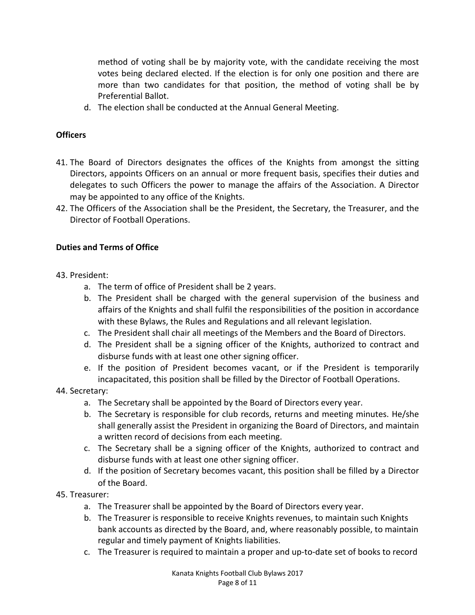method of voting shall be by majority vote, with the candidate receiving the most votes being declared elected. If the election is for only one position and there are more than two candidates for that position, the method of voting shall be by Preferential Ballot.

d. The election shall be conducted at the Annual General Meeting.

## **Officers**

- 41. The Board of Directors designates the offices of the Knights from amongst the sitting Directors, appoints Officers on an annual or more frequent basis, specifies their duties and delegates to such Officers the power to manage the affairs of the Association. A Director may be appointed to any office of the Knights.
- 42. The Officers of the Association shall be the President, the Secretary, the Treasurer, and the Director of Football Operations.

#### **Duties and Terms of Office**

- 43. President:
	- a. The term of office of President shall be 2 years.
	- b. The President shall be charged with the general supervision of the business and affairs of the Knights and shall fulfil the responsibilities of the position in accordance with these Bylaws, the Rules and Regulations and all relevant legislation.
	- c. The President shall chair all meetings of the Members and the Board of Directors.
	- d. The President shall be a signing officer of the Knights, authorized to contract and disburse funds with at least one other signing officer.
	- e. If the position of President becomes vacant, or if the President is temporarily incapacitated, this position shall be filled by the Director of Football Operations.
- 44. Secretary:
	- a. The Secretary shall be appointed by the Board of Directors every year.
	- b. The Secretary is responsible for club records, returns and meeting minutes. He/she shall generally assist the President in organizing the Board of Directors, and maintain a written record of decisions from each meeting.
	- c. The Secretary shall be a signing officer of the Knights, authorized to contract and disburse funds with at least one other signing officer.
	- d. If the position of Secretary becomes vacant, this position shall be filled by a Director of the Board.
- 45. Treasurer:
	- a. The Treasurer shall be appointed by the Board of Directors every year.
	- b. The Treasurer is responsible to receive Knights revenues, to maintain such Knights bank accounts as directed by the Board, and, where reasonably possible, to maintain regular and timely payment of Knights liabilities.
	- c. The Treasurer is required to maintain a proper and up-to-date set of books to record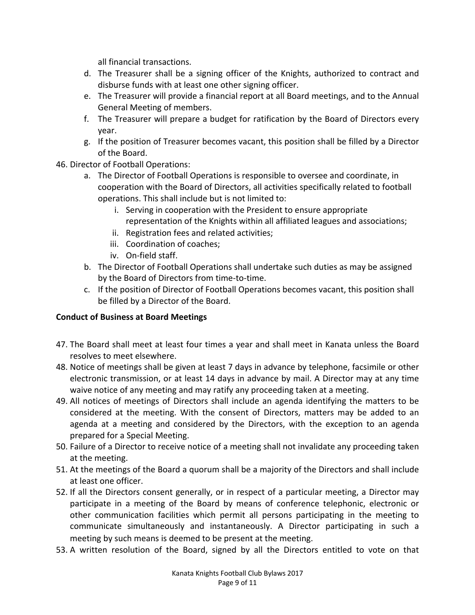all financial transactions.

- d. The Treasurer shall be a signing officer of the Knights, authorized to contract and disburse funds with at least one other signing officer.
- e. The Treasurer will provide a financial report at all Board meetings, and to the Annual General Meeting of members.
- f. The Treasurer will prepare a budget for ratification by the Board of Directors every year.
- g. If the position of Treasurer becomes vacant, this position shall be filled by a Director of the Board.
- 46. Director of Football Operations:
	- a. The Director of Football Operations is responsible to oversee and coordinate, in cooperation with the Board of Directors, all activities specifically related to football operations. This shall include but is not limited to:
		- i. Serving in cooperation with the President to ensure appropriate representation of the Knights within all affiliated leagues and associations;
		- ii. Registration fees and related activities;
		- iii. Coordination of coaches;
		- iv. On-field staff.
	- b. The Director of Football Operations shall undertake such duties as may be assigned by the Board of Directors from time-to-time.
	- c. If the position of Director of Football Operations becomes vacant, this position shall be filled by a Director of the Board.

## **Conduct of Business at Board Meetings**

- 47. The Board shall meet at least four times a year and shall meet in Kanata unless the Board resolves to meet elsewhere.
- 48. Notice of meetings shall be given at least 7 days in advance by telephone, facsimile or other electronic transmission, or at least 14 days in advance by mail. A Director may at any time waive notice of any meeting and may ratify any proceeding taken at a meeting.
- 49. All notices of meetings of Directors shall include an agenda identifying the matters to be considered at the meeting. With the consent of Directors, matters may be added to an agenda at a meeting and considered by the Directors, with the exception to an agenda prepared for a Special Meeting.
- 50. Failure of a Director to receive notice of a meeting shall not invalidate any proceeding taken at the meeting.
- 51. At the meetings of the Board a quorum shall be a majority of the Directors and shall include at least one officer.
- 52. If all the Directors consent generally, or in respect of a particular meeting, a Director may participate in a meeting of the Board by means of conference telephonic, electronic or other communication facilities which permit all persons participating in the meeting to communicate simultaneously and instantaneously. A Director participating in such a meeting by such means is deemed to be present at the meeting.
- 53. A written resolution of the Board, signed by all the Directors entitled to vote on that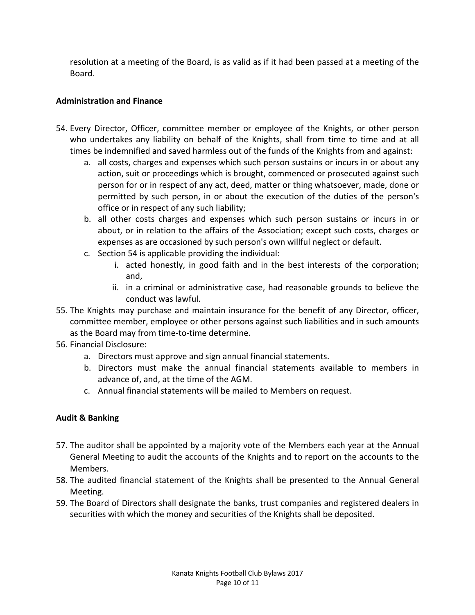resolution at a meeting of the Board, is as valid as if it had been passed at a meeting of the Board.

## **Administration and Finance**

- 54. Every Director, Officer, committee member or employee of the Knights, or other person who undertakes any liability on behalf of the Knights, shall from time to time and at all times be indemnified and saved harmless out of the funds of the Knights from and against:
	- a. all costs, charges and expenses which such person sustains or incurs in or about any action, suit or proceedings which is brought, commenced or prosecuted against such person for or in respect of any act, deed, matter or thing whatsoever, made, done or permitted by such person, in or about the execution of the duties of the person's office or in respect of any such liability;
	- b. all other costs charges and expenses which such person sustains or incurs in or about, or in relation to the affairs of the Association; except such costs, charges or expenses as are occasioned by such person's own willful neglect or default.
	- c. Section 54 is applicable providing the individual:
		- i. acted honestly, in good faith and in the best interests of the corporation; and,
		- ii. in a criminal or administrative case, had reasonable grounds to believe the conduct was lawful.
- 55. The Knights may purchase and maintain insurance for the benefit of any Director, officer, committee member, employee or other persons against such liabilities and in such amounts as the Board may from time-to-time determine.
- 56. Financial Disclosure:
	- a. Directors must approve and sign annual financial statements.
	- b. Directors must make the annual financial statements available to members in advance of, and, at the time of the AGM.
	- c. Annual financial statements will be mailed to Members on request.

## **Audit & Banking**

- 57. The auditor shall be appointed by a majority vote of the Members each year at the Annual General Meeting to audit the accounts of the Knights and to report on the accounts to the Members.
- 58. The audited financial statement of the Knights shall be presented to the Annual General Meeting.
- 59. The Board of Directors shall designate the banks, trust companies and registered dealers in securities with which the money and securities of the Knights shall be deposited.